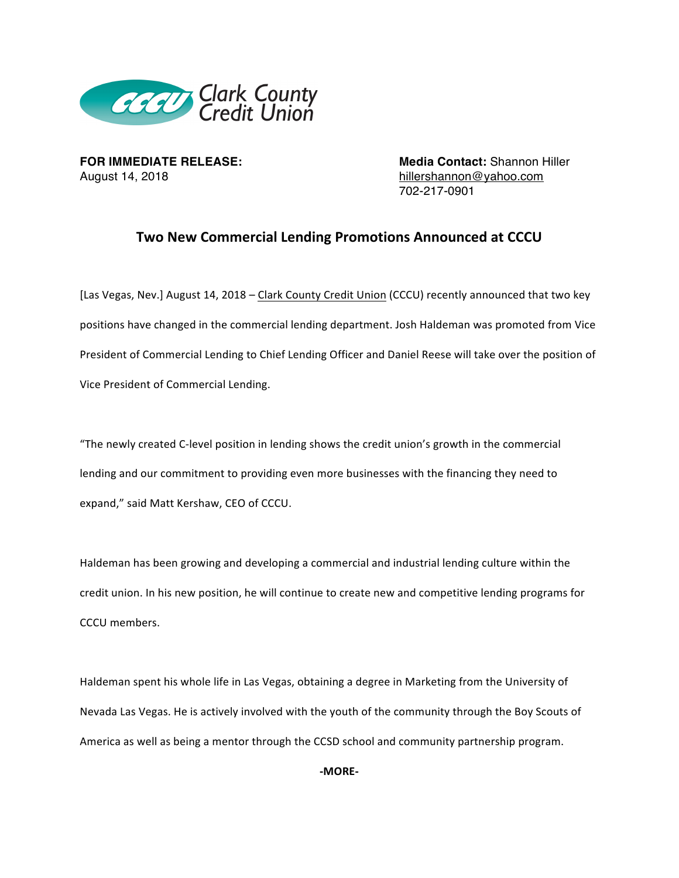

August 14, 2018 **hillershannon@yahoo.com** 

**FOR IMMEDIATE RELEASE: Media Contact:** Shannon Hiller 702-217-0901

## **Two New Commercial Lending Promotions Announced at CCCU**

[Las Vegas, Nev.] August 14, 2018 – Clark County Credit Union (CCCU) recently announced that two key positions have changed in the commercial lending department. Josh Haldeman was promoted from Vice President of Commercial Lending to Chief Lending Officer and Daniel Reese will take over the position of Vice President of Commercial Lending.

"The newly created C-level position in lending shows the credit union's growth in the commercial lending and our commitment to providing even more businesses with the financing they need to expand," said Matt Kershaw, CEO of CCCU. 

Haldeman has been growing and developing a commercial and industrial lending culture within the credit union. In his new position, he will continue to create new and competitive lending programs for CCCU members.

Haldeman spent his whole life in Las Vegas, obtaining a degree in Marketing from the University of Nevada Las Vegas. He is actively involved with the youth of the community through the Boy Scouts of America as well as being a mentor through the CCSD school and community partnership program.

**-MORE-**